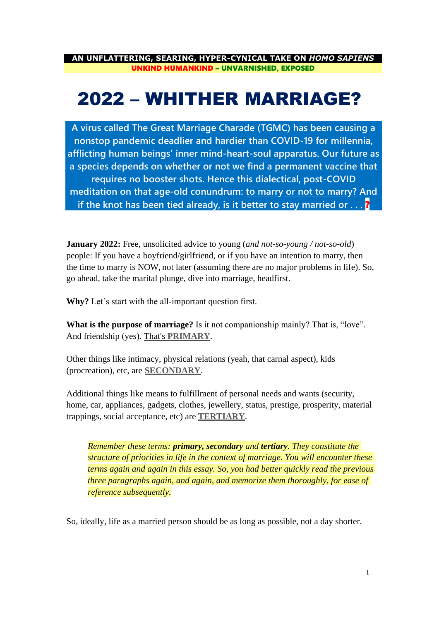**AN UNFLATTERING, SEARING, HYPER-CYNICAL TAKE ON** *HOMO SAPIENS* UNKIND HUMANKIND – UNVARNISHED, EXPOSED

# 2022 – WHITHER MARRIAGE?

**A virus called The Great Marriage Charade (TGMC) has been causing a nonstop pandemic deadlier and hardier than COVID-19 for millennia, afflicting human beings' inner mind-heart-soul apparatus. Our future as a species depends on whether or not we find a permanent vaccine that requires no booster shots. Hence this dialectical, post-COVID meditation on that age-old conundrum: to marry or not to marry? And if the knot has been tied already, is it better to stay married or ...?** 

**January 2022:** Free, unsolicited advice to young (*and not-so-young / not-so-old*) people: If you have a boyfriend/girlfriend, or if you have an intention to marry, then the time to marry is NOW, not later (assuming there are no major problems in life). So, go ahead, take the marital plunge, dive into marriage, headfirst.

**Why?** Let's start with the all-important question first.

**What is the purpose of marriage?** Is it not companionship mainly? That is, "love". And friendship (yes). That's **PRIMARY**.

Other things like intimacy, physical relations (yeah, that carnal aspect), kids (procreation), etc, are **SECONDARY**.

Additional things like means to fulfillment of personal needs and wants (security, home, car, appliances, gadgets, clothes, jewellery, status, prestige, prosperity, material trappings, social acceptance, etc) are **TERTIARY**.

*Remember these terms: primary, secondary and tertiary. They constitute the structure of priorities in life in the context of marriage. You will encounter these terms again and again in this essay. So, you had better quickly read the previous three paragraphs again, and again, and memorize them thoroughly, for ease of reference subsequently.*

So, ideally, life as a married person should be as long as possible, not a day shorter.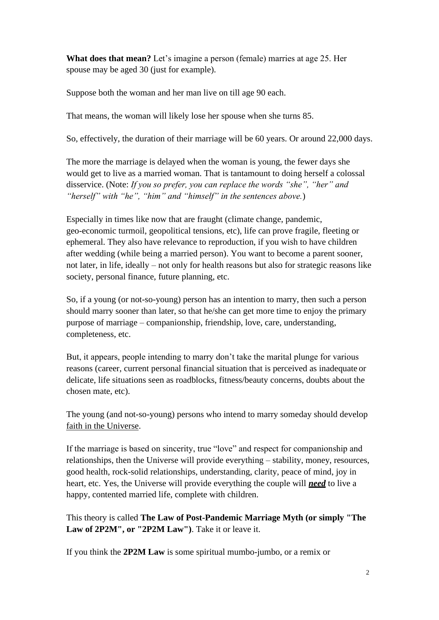**What does that mean?** Let's imagine a person (female) marries at age 25. Her spouse may be aged 30 (just for example).

Suppose both the woman and her man live on till age 90 each.

That means, the woman will likely lose her spouse when she turns 85.

So, effectively, the duration of their marriage will be 60 years. Or around 22,000 days.

The more the marriage is delayed when the woman is young, the fewer days she would get to live as a married woman. That is tantamount to doing herself a colossal disservice. (Note: *If you so prefer, you can replace the words "she", "her" and "herself" with "he", "him" and "himself" in the sentences above.*)

Especially in times like now that are fraught (climate change, pandemic, geo-economic turmoil, geopolitical tensions, etc), life can prove fragile, fleeting or ephemeral. They also have relevance to reproduction, if you wish to have children after wedding (while being a married person). You want to become a parent sooner, not later, in life, ideally – not only for health reasons but also for strategic reasons like society, personal finance, future planning, etc.

So, if a young (or not-so-young) person has an intention to marry, then such a person should marry sooner than later, so that he/she can get more time to enjoy the primary purpose of marriage – companionship, friendship, love, care, understanding, completeness, etc.

But, it appears, people intending to marry don't take the marital plunge for various reasons (career, current personal financial situation that is perceived as inadequate or delicate, life situations seen as roadblocks, fitness/beauty concerns, doubts about the chosen mate, etc).

The young (and not-so-young) persons who intend to marry someday should develop faith in the Universe.

If the marriage is based on sincerity, true "love" and respect for companionship and relationships, then the Universe will provide everything – stability, money, resources, good health, rock-solid relationships, understanding, clarity, peace of mind, joy in heart, etc. Yes, the Universe will provide everything the couple will *need* to live a happy, contented married life, complete with children.

This theory is called **The Law of Post-Pandemic Marriage Myth (or simply "The Law of 2P2M", or "2P2M Law")**. Take it or leave it.

If you think the **2P2M Law** is some spiritual mumbo-jumbo, or a remix or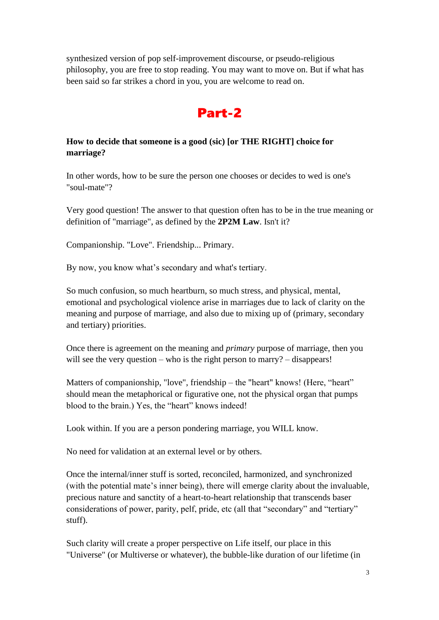synthesized version of pop self-improvement discourse, or pseudo-religious philosophy, you are free to stop reading. You may want to move on. But if what has been said so far strikes a chord in you, you are welcome to read on.

## Part-2

### **How to decide that someone is a good (sic) [or THE RIGHT] choice for marriage?**

In other words, how to be sure the person one chooses or decides to wed is one's "soul-mate"?

Very good question! The answer to that question often has to be in the true meaning or definition of "marriage", as defined by the **2P2M Law**. Isn't it?

Companionship. "Love". Friendship... Primary.

By now, you know what's secondary and what's tertiary.

So much confusion, so much heartburn, so much stress, and physical, mental, emotional and psychological violence arise in marriages due to lack of clarity on the meaning and purpose of marriage, and also due to mixing up of (primary, secondary and tertiary) priorities.

Once there is agreement on the meaning and *primary* purpose of marriage, then you will see the very question – who is the right person to marry? – disappears!

Matters of companionship, "love", friendship – the "heart" knows! (Here, "heart" should mean the metaphorical or figurative one, not the physical organ that pumps blood to the brain.) Yes, the "heart" knows indeed!

Look within. If you are a person pondering marriage, you WILL know.

No need for validation at an external level or by others.

Once the internal/inner stuff is sorted, reconciled, harmonized, and synchronized (with the potential mate's inner being), there will emerge clarity about the invaluable, precious nature and sanctity of a heart-to-heart relationship that transcends baser considerations of power, parity, pelf, pride, etc (all that "secondary" and "tertiary" stuff).

Such clarity will create a proper perspective on Life itself, our place in this "Universe" (or Multiverse or whatever), the bubble-like duration of our lifetime (in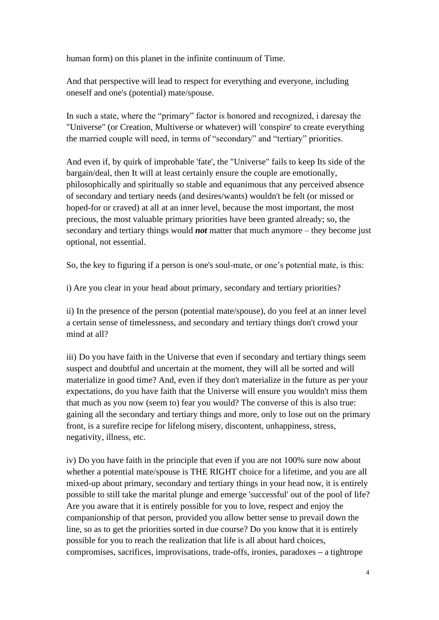human form) on this planet in the infinite continuum of Time.

And that perspective will lead to respect for everything and everyone, including oneself and one's (potential) mate/spouse.

In such a state, where the "primary" factor is honored and recognized, i daresay the "Universe" (or Creation, Multiverse or whatever) will 'conspire' to create everything the married couple will need, in terms of "secondary" and "tertiary" priorities.

And even if, by quirk of improbable 'fate', the "Universe" fails to keep Its side of the bargain/deal, then It will at least certainly ensure the couple are emotionally, philosophically and spiritually so stable and equanimous that any perceived absence of secondary and tertiary needs (and desires/wants) wouldn't be felt (or missed or hoped-for or craved) at all at an inner level, because the most important, the most precious, the most valuable primary priorities have been granted already; so, the secondary and tertiary things would *not* matter that much anymore – they become just optional, not essential.

So, the key to figuring if a person is one's soul-mate, or one's potential mate, is this:

i) Are you clear in your head about primary, secondary and tertiary priorities?

ii) In the presence of the person (potential mate/spouse), do you feel at an inner level a certain sense of timelessness, and secondary and tertiary things don't crowd your mind at all?

iii) Do you have faith in the Universe that even if secondary and tertiary things seem suspect and doubtful and uncertain at the moment, they will all be sorted and will materialize in good time? And, even if they don't materialize in the future as per your expectations, do you have faith that the Universe will ensure you wouldn't miss them that much as you now (seem to) fear you would? The converse of this is also true: gaining all the secondary and tertiary things and more, only to lose out on the primary front, is a surefire recipe for lifelong misery, discontent, unhappiness, stress, negativity, illness, etc.

iv) Do you have faith in the principle that even if you are not 100% sure now about whether a potential mate/spouse is THE RIGHT choice for a lifetime, and you are all mixed-up about primary, secondary and tertiary things in your head now, it is entirely possible to still take the marital plunge and emerge 'successful' out of the pool of life? Are you aware that it is entirely possible for you to love, respect and enjoy the companionship of that person, provided you allow better sense to prevail down the line, so as to get the priorities sorted in due course? Do you know that it is entirely possible for you to reach the realization that life is all about hard choices, compromises, sacrifices, improvisations, trade-offs, ironies, paradoxes **–** a tightrope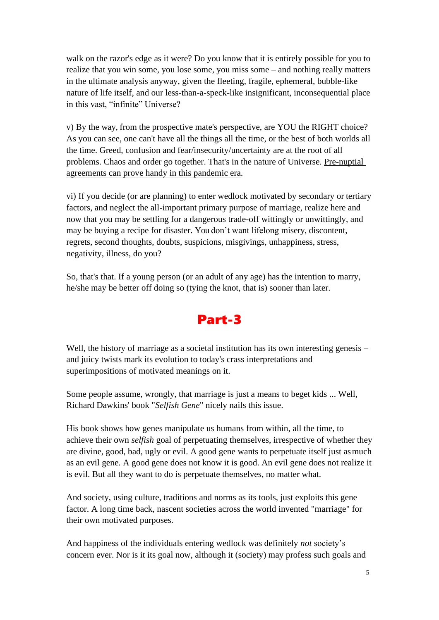walk on the razor's edge as it were? Do you know that it is entirely possible for you to realize that you win some, you lose some, you miss some – and nothing really matters in the ultimate analysis anyway, given the fleeting, fragile, ephemeral, bubble-like nature of life itself, and our less-than-a-speck-like insignificant, inconsequential place in this vast, "infinite" Universe?

v) By the way, from the prospective mate's perspective, are YOU the RIGHT choice? As you can see, one can't have all the things all the time, or the best of both worlds all the time. Greed, confusion and fear/insecurity/uncertainty are at the root of all problems. Chaos and order go together. That's in the nature of Universe. Pre-nuptial agreements can prove handy in this pandemic era.

vi) If you decide (or are planning) to enter wedlock motivated by secondary or tertiary factors, and neglect the all-important primary purpose of marriage, realize here and now that you may be settling for a dangerous trade-off wittingly or unwittingly, and may be buying a recipe for disaster. You don't want lifelong misery, discontent, regrets, second thoughts, doubts, suspicions, misgivings, unhappiness, stress, negativity, illness, do you?

So, that's that. If a young person (or an adult of any age) has the intention to marry, he/she may be better off doing so (tying the knot, that is) sooner than later.

## Part-3

Well, the history of marriage as a societal institution has its own interesting genesis – and juicy twists mark its evolution to today's crass interpretations and superimpositions of motivated meanings on it.

Some people assume, wrongly, that marriage is just a means to beget kids ... Well, Richard Dawkins' book "*Selfish Gene*" nicely nails this issue.

His book shows how genes manipulate us humans from within, all the time, to achieve their own *selfish* goal of perpetuating themselves, irrespective of whether they are divine, good, bad, ugly or evil. A good gene wants to perpetuate itself just asmuch as an evil gene. A good gene does not know it is good. An evil gene does not realize it is evil. But all they want to do is perpetuate themselves, no matter what.

And society, using culture, traditions and norms as its tools, just exploits this gene factor. A long time back, nascent societies across the world invented "marriage" for their own motivated purposes.

And happiness of the individuals entering wedlock was definitely *not* society's concern ever. Nor is it its goal now, although it (society) may profess such goals and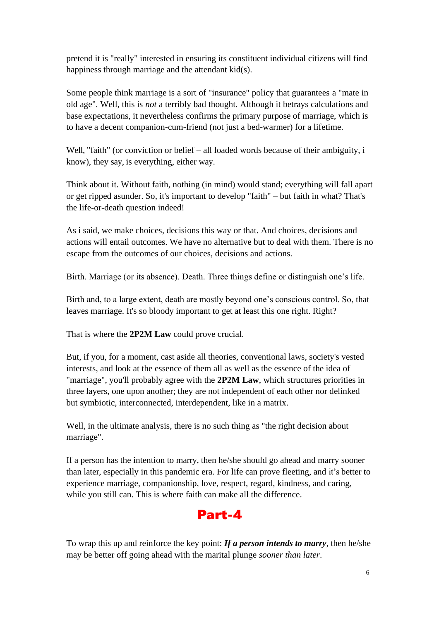pretend it is "really" interested in ensuring its constituent individual citizens will find happiness through marriage and the attendant kid(s).

Some people think marriage is a sort of "insurance" policy that guarantees a "mate in old age". Well, this is *not* a terribly bad thought. Although it betrays calculations and base expectations, it nevertheless confirms the primary purpose of marriage, which is to have a decent companion-cum-friend (not just a bed-warmer) for a lifetime.

Well, "faith" (or conviction or belief – all loaded words because of their ambiguity, i know), they say, is everything, either way.

Think about it. Without faith, nothing (in mind) would stand; everything will fall apart or get ripped asunder. So, it's important to develop "faith" – but faith in what? That's the life-or-death question indeed!

As i said, we make choices, decisions this way or that. And choices, decisions and actions will entail outcomes. We have no alternative but to deal with them. There is no escape from the outcomes of our choices, decisions and actions.

Birth. Marriage (or its absence). Death. Three things define or distinguish one's life.

Birth and, to a large extent, death are mostly beyond one's conscious control. So, that leaves marriage. It's so bloody important to get at least this one right. Right?

That is where the **2P2M Law** could prove crucial.

But, if you, for a moment, cast aside all theories, conventional laws, society's vested interests, and look at the essence of them all as well as the essence of the idea of "marriage", you'll probably agree with the **2P2M Law**, which structures priorities in three layers, one upon another; they are not independent of each other nor delinked but symbiotic, interconnected, interdependent, like in a matrix.

Well, in the ultimate analysis, there is no such thing as "the right decision about marriage".

If a person has the intention to marry, then he/she should go ahead and marry sooner than later, especially in this pandemic era. For life can prove fleeting, and it's better to experience marriage, companionship, love, respect, regard, kindness, and caring, while you still can. This is where faith can make all the difference.



To wrap this up and reinforce the key point: *If a person intends to marry*, then he/she may be better off going ahead with the marital plunge *sooner than later*.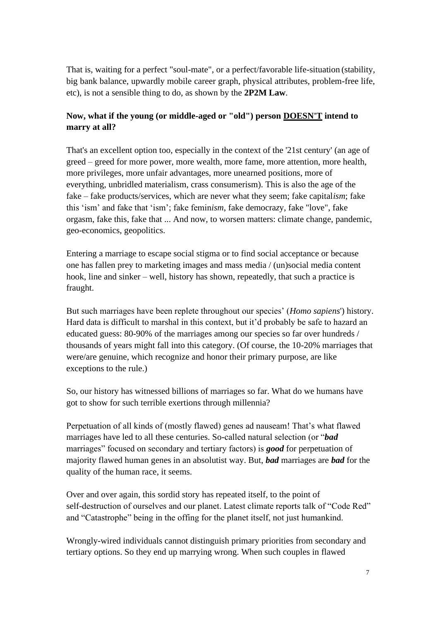That is, waiting for a perfect "soul-mate", or a perfect/favorable life-situation (stability, big bank balance, upwardly mobile career graph, physical attributes, problem-free life, etc), is not a sensible thing to do, as shown by the **2P2M Law**.

### **Now, what if the young (or middle-aged or "old") person DOESN'T intend to marry at all?**

That's an excellent option too, especially in the context of the '21st century' (an age of greed – greed for more power, more wealth, more fame, more attention, more health, more privileges, more unfair advantages, more unearned positions, more of everything, unbridled materialism, crass consumerism). This is also the age of the fake – fake products/services, which are never what they seem; fake capital*ism*; fake this 'ism' and fake that 'ism'; fake femin*ism*, fake democra*z*y, fake "love", fake orgasm, fake this, fake that ... And now, to worsen matters: climate change, pandemic, geo-economics, geopolitics.

Entering a marriage to escape social stigma or to find social acceptance or because one has fallen prey to marketing images and mass media / (un)social media content hook, line and sinker – well, history has shown, repeatedly, that such a practice is fraught.

But such marriages have been replete throughout our species' (*Homo sapiens*') history. Hard data is difficult to marshal in this context, but it'd probably be safe to hazard an educated guess: 80-90% of the marriages among our species so far over hundreds / thousands of years might fall into this category. (Of course, the 10-20% marriages that were/are genuine, which recognize and honor their primary purpose, are like exceptions to the rule.)

So, our history has witnessed billions of marriages so far. What do we humans have got to show for such terrible exertions through millennia?

Perpetuation of all kinds of (mostly flawed) genes ad nauseam! That's what flawed marriages have led to all these centuries. So-called natural selection (or "*bad* marriages" focused on secondary and tertiary factors) is *good* for perpetuation of majority flawed human genes in an absolutist way. But, *bad* marriages are *bad* for the quality of the human race, it seems.

Over and over again, this sordid story has repeated itself, to the point of self-destruction of ourselves and our planet. Latest climate reports talk of "Code Red" and "Catastrophe" being in the offing for the planet itself, not just humankind.

Wrongly-wired individuals cannot distinguish primary priorities from secondary and tertiary options. So they end up marrying wrong. When such couples in flawed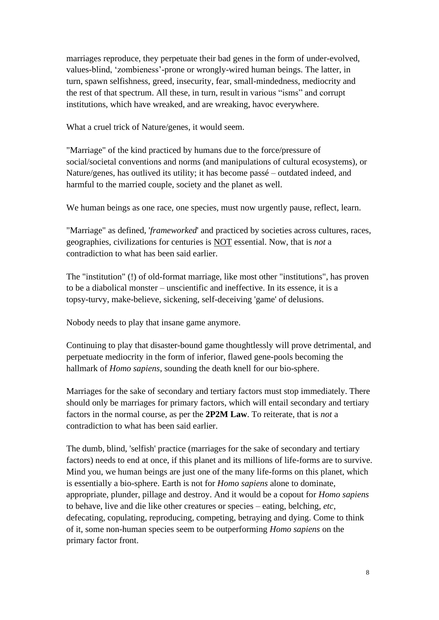marriages reproduce, they perpetuate their bad genes in the form of under-evolved, values-blind, 'zombieness'-prone or wrongly-wired human beings. The latter, in turn, spawn selfishness, greed, insecurity, fear, small-mindedness, mediocrity and the rest of that spectrum. All these, in turn, result in various "isms" and corrupt institutions, which have wreaked, and are wreaking, havoc everywhere.

What a cruel trick of Nature/genes, it would seem.

"Marriage" of the kind practiced by humans due to the force/pressure of social/societal conventions and norms (and manipulations of cultural ecosystems), or Nature/genes, has outlived its utility; it has become passé – outdated indeed, and harmful to the married couple, society and the planet as well.

We human beings as one race, one species, must now urgently pause, reflect, learn.

"Marriage" as defined, '*frameworked*' and practiced by societies across cultures, races, geographies, civilizations for centuries is NOT essential. Now, that is *not* a contradiction to what has been said earlier.

The "institution" (!) of old-format marriage, like most other "institutions", has proven to be a diabolical monster – unscientific and ineffective. In its essence, it is a topsy-turvy, make-believe, sickening, self-deceiving 'game' of delusions.

Nobody needs to play that insane game anymore.

Continuing to play that disaster-bound game thoughtlessly will prove detrimental, and perpetuate mediocrity in the form of inferior, flawed gene-pools becoming the hallmark of *Homo sapiens*, sounding the death knell for our bio-sphere.

Marriages for the sake of secondary and tertiary factors must stop immediately. There should only be marriages for primary factors, which will entail secondary and tertiary factors in the normal course, as per the **2P2M Law**. To reiterate, that is *not* a contradiction to what has been said earlier.

The dumb, blind, 'selfish' practice (marriages for the sake of secondary and tertiary factors) needs to end at once, if this planet and its millions of life-forms are to survive. Mind you, we human beings are just one of the many life-forms on this planet, which is essentially a bio-sphere. Earth is not for *Homo sapiens* alone to dominate, appropriate, plunder, pillage and destroy. And it would be a copout for *Homo sapiens*  to behave, live and die like other creatures or species – eating, belching, *etc*, defecating, copulating, reproducing, competing, betraying and dying. Come to think of it, some non-human species seem to be outperforming *Homo sapiens* on the primary factor front.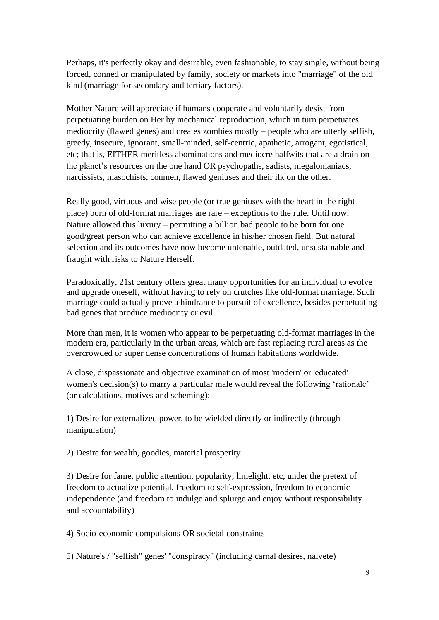Perhaps, it's perfectly okay and desirable, even fashionable, to stay single, without being forced, conned or manipulated by family, society or markets into "marriage" of the old kind (marriage for secondary and tertiary factors).

Mother Nature will appreciate if humans cooperate and voluntarily desist from perpetuating burden on Her by mechanical reproduction, which in turn perpetuates mediocrity (flawed genes) and creates zombies mostly – people who are utterly selfish, greedy, insecure, ignorant, small-minded, self-centric, apathetic, arrogant, egotistical, etc; that is, EITHER meritless abominations and mediocre halfwits that are a drain on the planet's resources on the one hand OR psychopaths, sadists, megalomaniacs, narcissists, masochists, conmen, flawed geniuses and their ilk on the other.

Really good, virtuous and wise people (or true geniuses with the heart in the right place) born of old-format marriages are rare – exceptions to the rule. Until now, Nature allowed this luxury – permitting a billion bad people to be born for one good/great person who can achieve excellence in his/her chosen field. But natural selection and its outcomes have now become untenable, outdated, unsustainable and fraught with risks to Nature Herself.

Paradoxically, 21st century offers great many opportunities for an individual to evolve and upgrade oneself, without having to rely on crutches like old-format marriage. Such marriage could actually prove a hindrance to pursuit of excellence, besides perpetuating bad genes that produce mediocrity or evil.

More than men, it is women who appear to be perpetuating old-format marriages in the modern era, particularly in the urban areas, which are fast replacing rural areas as the overcrowded or super dense concentrations of human habitations worldwide.

A close, dispassionate and objective examination of most 'modern' or 'educated' women's decision(s) to marry a particular male would reveal the following 'rationale' (or calculations, motives and scheming):

1) Desire for externalized power, to be wielded directly or indirectly (through manipulation)

2) Desire for wealth, goodies, material prosperity

3) Desire for fame, public attention, popularity, limelight, etc, under the pretext of freedom to actualize potential, freedom to self-expression, freedom to economic independence (and freedom to indulge and splurge and enjoy without responsibility and accountability)

4) Socio-economic compulsions OR societal constraints

5) Nature's / "selfish" genes' "conspiracy" (including carnal desires, naivete)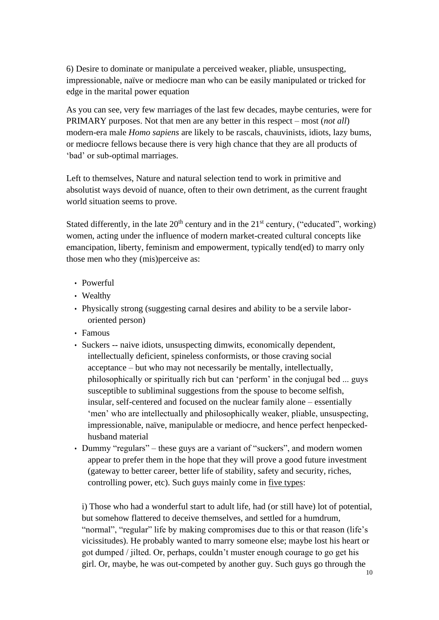6) Desire to dominate or manipulate a perceived weaker, pliable, unsuspecting, impressionable, naïve or mediocre man who can be easily manipulated or tricked for edge in the marital power equation

As you can see, very few marriages of the last few decades, maybe centuries, were for PRIMARY purposes. Not that men are any better in this respect – most (*not all*) modern-era male *Homo sapiens* are likely to be rascals, chauvinists, idiots, lazy bums, or mediocre fellows because there is very high chance that they are all products of 'bad' or sub-optimal marriages.

Left to themselves, Nature and natural selection tend to work in primitive and absolutist ways devoid of nuance, often to their own detriment, as the current fraught world situation seems to prove.

Stated differently, in the late  $20<sup>th</sup>$  century and in the  $21<sup>st</sup>$  century, ("educated", working) women, acting under the influence of modern market-created cultural concepts like emancipation, liberty, feminism and empowerment, typically tend(ed) to marry only those men who they (mis)perceive as:

- Powerful
- Wealthy
- Physically strong (suggesting carnal desires and ability to be a servile labororiented person)
- Famous
- Suckers -- naive idiots, unsuspecting dimwits, economically dependent, intellectually deficient, spineless conformists, or those craving social acceptance – but who may not necessarily be mentally, intellectually, philosophically or spiritually rich but can 'perform' in the conjugal bed ... guys susceptible to subliminal suggestions from the spouse to become selfish, insular, self-centered and focused on the nuclear family alone – essentially 'men' who are intellectually and philosophically weaker, pliable, unsuspecting, impressionable, naïve, manipulable or mediocre, and hence perfect henpeckedhusband material
- Dummy "regulars" these guys are a variant of "suckers", and modern women appear to prefer them in the hope that they will prove a good future investment (gateway to better career, better life of stability, safety and security, riches, controlling power, etc). Such guys mainly come in five types:

i) Those who had a wonderful start to adult life, had (or still have) lot of potential, but somehow flattered to deceive themselves, and settled for a humdrum, "normal", "regular" life by making compromises due to this or that reason (life's vicissitudes). He probably wanted to marry someone else; maybe lost his heart or got dumped / jilted. Or, perhaps, couldn't muster enough courage to go get his girl. Or, maybe, he was out-competed by another guy. Such guys go through the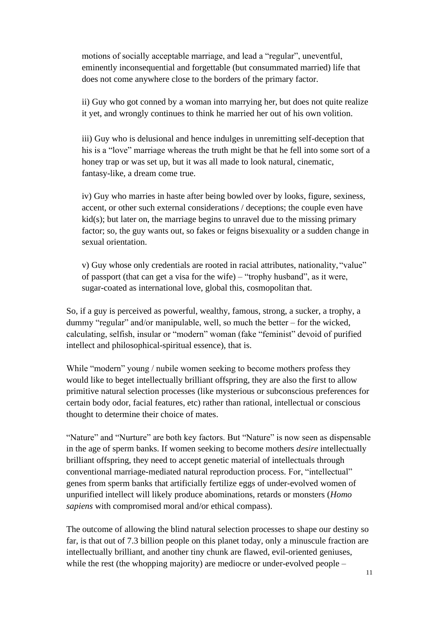motions of socially acceptable marriage, and lead a "regular", uneventful, eminently inconsequential and forgettable (but consummated married) life that does not come anywhere close to the borders of the primary factor.

ii) Guy who got conned by a woman into marrying her, but does not quite realize it yet, and wrongly continues to think he married her out of his own volition.

iii) Guy who is delusional and hence indulges in unremitting self-deception that his is a "love" marriage whereas the truth might be that he fell into some sort of a honey trap or was set up, but it was all made to look natural, cinematic, fantasy-like, a dream come true.

iv) Guy who marries in haste after being bowled over by looks, figure, sexiness, accent, or other such external considerations / deceptions; the couple even have kid(s); but later on, the marriage begins to unravel due to the missing primary factor; so, the guy wants out, so fakes or feigns bisexuality or a sudden change in sexual orientation.

v) Guy whose only credentials are rooted in racial attributes, nationality, "value" of passport (that can get a visa for the wife) – "trophy husband", as it were, sugar-coated as international love, global this, cosmopolitan that.

So, if a guy is perceived as powerful, wealthy, famous, strong, a sucker, a trophy, a dummy "regular" and/or manipulable, well, so much the better – for the wicked, calculating, selfish, insular or "modern" woman (fake "feminist" devoid of purified intellect and philosophical-spiritual essence), that is.

While "modern" young / nubile women seeking to become mothers profess they would like to beget intellectually brilliant offspring, they are also the first to allow primitive natural selection processes (like mysterious or subconscious preferences for certain body odor, facial features, etc) rather than rational, intellectual or conscious thought to determine their choice of mates.

"Nature" and "Nurture" are both key factors. But "Nature" is now seen as dispensable in the age of sperm banks. If women seeking to become mothers *desire* intellectually brilliant offspring, they need to accept genetic material of intellectuals through conventional marriage-mediated natural reproduction process. For, "intellectual" genes from sperm banks that artificially fertilize eggs of under-evolved women of unpurified intellect will likely produce abominations, retards or monsters (*Homo sapiens* with compromised moral and/or ethical compass).

The outcome of allowing the blind natural selection processes to shape our destiny so far, is that out of 7.3 billion people on this planet today, only a minuscule fraction are intellectually brilliant, and another tiny chunk are flawed, evil-oriented geniuses, while the rest (the whopping majority) are mediocre or under-evolved people –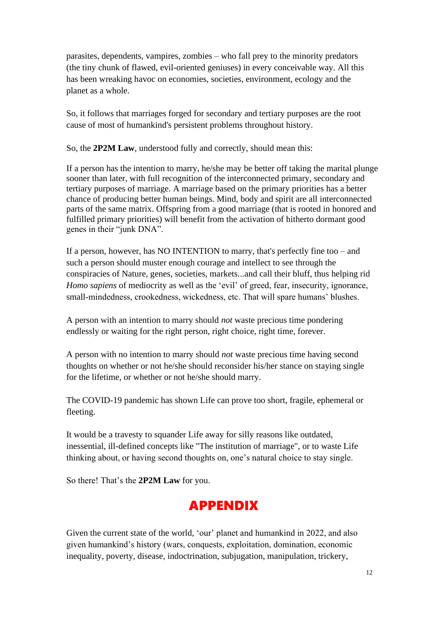parasites, dependents, vampires, zombies – who fall prey to the minority predators (the tiny chunk of flawed, evil-oriented geniuses) in every conceivable way. All this has been wreaking havoc on economies, societies, environment, ecology and the planet as a whole.

So, it follows that marriages forged for secondary and tertiary purposes are the root cause of most of humankind's persistent problems throughout history.

So, the **2P2M Law**, understood fully and correctly, should mean this:

If a person has the intention to marry, he/she may be better off taking the marital plunge sooner than later, with full recognition of the interconnected primary, secondary and tertiary purposes of marriage. A marriage based on the primary priorities has a better chance of producing better human beings. Mind, body and spirit are all interconnected parts of the same matrix. Offspring from a good marriage (that is rooted in honored and fulfilled primary priorities) will benefit from the activation of hitherto dormant good genes in their "junk DNA".

If a person, however, has NO INTENTION to marry, that's perfectly fine too – and such a person should muster enough courage and intellect to see through the conspiracies of Nature, genes, societies, markets...and call their bluff, thus helping rid *Homo sapiens* of mediocrity as well as the 'evil' of greed, fear, insecurity, ignorance, small-mindedness, crookedness, wickedness, etc. That will spare humans' blushes.

A person with an intention to marry should *not* waste precious time pondering endlessly or waiting for the right person, right choice, right time, forever.

A person with no intention to marry should *not* waste precious time having second thoughts on whether or not he/she should reconsider his/her stance on staying single for the lifetime, or whether or not he/she should marry.

The COVID-19 pandemic has shown Life can prove too short, fragile, ephemeral or fleeting.

It would be a travesty to squander Life away for silly reasons like outdated, inessential, ill-defined concepts like "The institution of marriage", or to waste Life thinking about, or having second thoughts on, one's natural choice to stay single.

So there! That's the **2P2M Law** for you.

# APPENDIX

Given the current state of the world, 'our' planet and humankind in 2022, and also given humankind's history (wars, conquests, exploitation, domination, economic inequality, poverty, disease, indoctrination, subjugation, manipulation, trickery,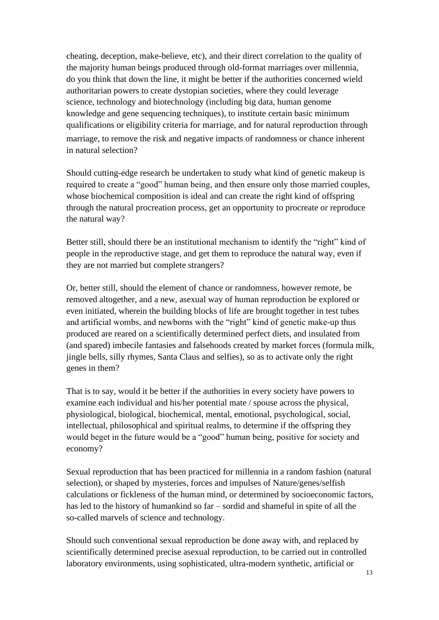cheating, deception, make-believe, etc), and their direct correlation to the quality of the majority human beings produced through old-format marriages over millennia, do you think that down the line, it might be better if the authorities concerned wield authoritarian powers to create dystopian societies, where they could leverage science, technology and biotechnology (including big data, human genome knowledge and gene sequencing techniques), to institute certain basic minimum qualifications or eligibility criteria for marriage, and for natural reproduction through marriage, to remove the risk and negative impacts of randomness or chance inherent in natural selection?

Should cutting-edge research be undertaken to study what kind of genetic makeup is required to create a "good" human being, and then ensure only those married couples, whose biochemical composition is ideal and can create the right kind of offspring through the natural procreation process, get an opportunity to procreate or reproduce the natural way?

Better still, should there be an institutional mechanism to identify the "right" kind of people in the reproductive stage, and get them to reproduce the natural way, even if they are not married but complete strangers?

Or, better still, should the element of chance or randomness, however remote, be removed altogether, and a new, asexual way of human reproduction be explored or even initiated, wherein the building blocks of life are brought together in test tubes and artificial wombs, and newborns with the "right" kind of genetic make-up thus produced are reared on a scientifically determined perfect diets, and insulated from (and spared) imbecile fantasies and falsehoods created by market forces (formula milk, jingle bells, silly rhymes, Santa Claus and selfies), so as to activate only the right genes in them?

That is to say, would it be better if the authorities in every society have powers to examine each individual and his/her potential mate / spouse across the physical, physiological, biological, biochemical, mental, emotional, psychological, social, intellectual, philosophical and spiritual realms, to determine if the offspring they would beget in the future would be a "good" human being, positive for society and economy?

Sexual reproduction that has been practiced for millennia in a random fashion (natural selection), or shaped by mysteries, forces and impulses of Nature/genes/selfish calculations or fickleness of the human mind, or determined by socioeconomic factors, has led to the history of humankind so far – sordid and shameful in spite of all the so-called marvels of science and technology.

Should such conventional sexual reproduction be done away with, and replaced by scientifically determined precise asexual reproduction, to be carried out in controlled laboratory environments, using sophisticated, ultra-modern synthetic, artificial or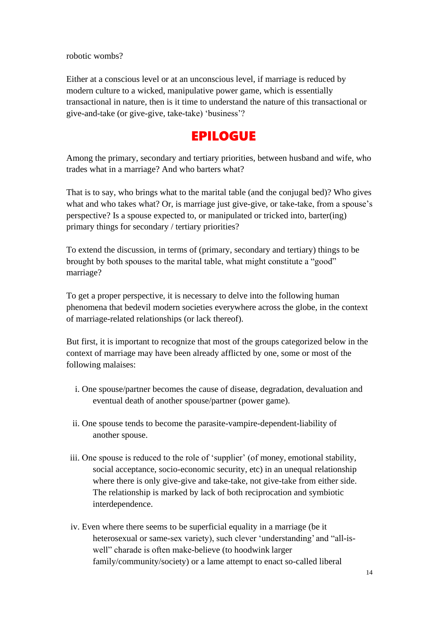robotic wombs?

Either at a conscious level or at an unconscious level, if marriage is reduced by modern culture to a wicked, manipulative power game, which is essentially transactional in nature, then is it time to understand the nature of this transactional or give-and-take (or give-give, take-take) 'business'?

# EPILOGUE

Among the primary, secondary and tertiary priorities, between husband and wife, who trades what in a marriage? And who barters what?

That is to say, who brings what to the marital table (and the conjugal bed)? Who gives what and who takes what? Or, is marriage just give-give, or take-take, from a spouse's perspective? Is a spouse expected to, or manipulated or tricked into, barter(ing) primary things for secondary / tertiary priorities?

To extend the discussion, in terms of (primary, secondary and tertiary) things to be brought by both spouses to the marital table, what might constitute a "good" marriage?

To get a proper perspective, it is necessary to delve into the following human phenomena that bedevil modern societies everywhere across the globe, in the context of marriage-related relationships (or lack thereof).

But first, it is important to recognize that most of the groups categorized below in the context of marriage may have been already afflicted by one, some or most of the following malaises:

- i. One spouse/partner becomes the cause of disease, degradation, devaluation and eventual death of another spouse/partner (power game).
- ii. One spouse tends to become the parasite-vampire-dependent-liability of another spouse.
- iii. One spouse is reduced to the role of 'supplier' (of money, emotional stability, social acceptance, socio-economic security, etc) in an unequal relationship where there is only give-give and take-take, not give-take from either side. The relationship is marked by lack of both reciprocation and symbiotic interdependence.
- iv. Even where there seems to be superficial equality in a marriage (be it heterosexual or same-sex variety), such clever 'understanding' and "all-iswell" charade is often make-believe (to hoodwink larger family/community/society) or a lame attempt to enact so-called liberal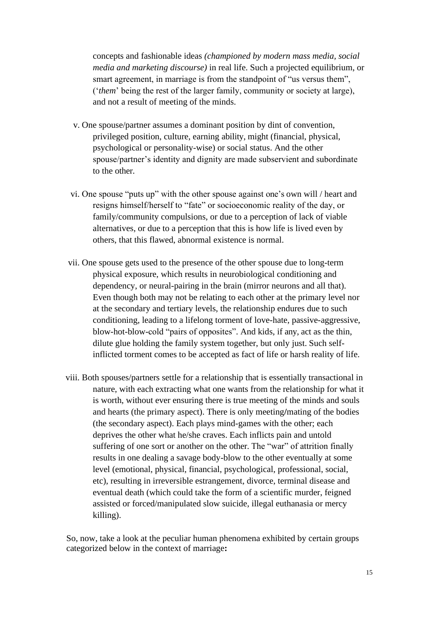concepts and fashionable ideas *(championed by modern mass media, social media and marketing discourse)* in real life. Such a projected equilibrium, or smart agreement, in marriage is from the standpoint of "us versus them", ('*them*' being the rest of the larger family, community or society at large), and not a result of meeting of the minds.

- v. One spouse/partner assumes a dominant position by dint of convention, privileged position, culture, earning ability, might (financial, physical, psychological or personality-wise) or social status. And the other spouse/partner's identity and dignity are made subservient and subordinate to the other.
- vi. One spouse "puts up" with the other spouse against one's own will / heart and resigns himself/herself to "fate" or socioeconomic reality of the day, or family/community compulsions, or due to a perception of lack of viable alternatives, or due to a perception that this is how life is lived even by others, that this flawed, abnormal existence is normal.
- vii. One spouse gets used to the presence of the other spouse due to long-term physical exposure, which results in neurobiological conditioning and dependency, or neural-pairing in the brain (mirror neurons and all that). Even though both may not be relating to each other at the primary level nor at the secondary and tertiary levels, the relationship endures due to such conditioning, leading to a lifelong torment of love-hate, passive-aggressive, blow-hot-blow-cold "pairs of opposites". And kids, if any, act as the thin, dilute glue holding the family system together, but only just. Such selfinflicted torment comes to be accepted as fact of life or harsh reality of life.
- viii. Both spouses/partners settle for a relationship that is essentially transactional in nature, with each extracting what one wants from the relationship for what it is worth, without ever ensuring there is true meeting of the minds and souls and hearts (the primary aspect). There is only meeting**/**mating of the bodies (the secondary aspect). Each plays mind-games with the other; each deprives the other what he/she craves. Each inflicts pain and untold suffering of one sort or another on the other. The "war" of attrition finally results in one dealing a savage body-blow to the other eventually at some level (emotional, physical, financial, psychological, professional, social, etc), resulting in irreversible estrangement, divorce, terminal disease and eventual death (which could take the form of a scientific murder, feigned assisted or forced/manipulated slow suicide, illegal euthanasia or mercy killing).

So, now, take a look at the peculiar human phenomena exhibited by certain groups categorized below in the context of marriage**:**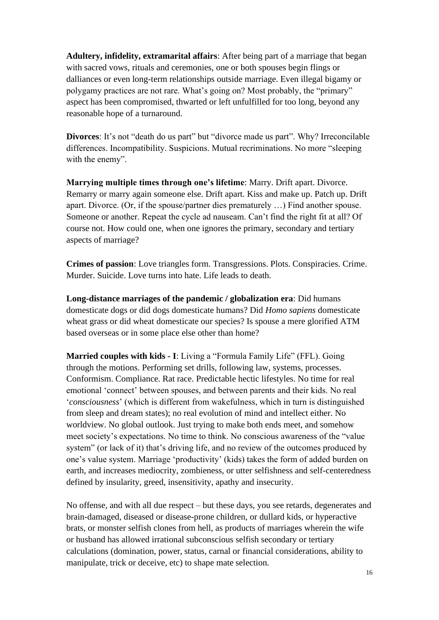**Adultery, infidelity, extramarital affairs**: After being part of a marriage that began with sacred vows, rituals and ceremonies, one or both spouses begin flings or dalliances or even long-term relationships outside marriage. Even illegal bigamy or polygamy practices are not rare. What's going on? Most probably, the "primary" aspect has been compromised, thwarted or left unfulfilled for too long, beyond any reasonable hope of a turnaround.

**Divorces**: It's not "death do us part" but "divorce made us part". Why? Irreconcilable differences. Incompatibility. Suspicions. Mutual recriminations. No more "sleeping with the enemy".

**Marrying multiple times through one's lifetime**: Marry. Drift apart. Divorce. Remarry or marry again someone else. Drift apart. Kiss and make up. Patch up. Drift apart. Divorce. (Or, if the spouse/partner dies prematurely …) Find another spouse. Someone or another. Repeat the cycle ad nauseam. Can't find the right fit at all? Of course not. How could one, when one ignores the primary, secondary and tertiary aspects of marriage?

**Crimes of passion**: Love triangles form. Transgressions. Plots. Conspiracies. Crime. Murder. Suicide. Love turns into hate. Life leads to death.

**Long-distance marriages of the pandemic / globalization era**: Did humans domesticate dogs or did dogs domesticate humans? Did *Homo sapiens* domesticate wheat grass or did wheat domesticate our species? Is spouse a mere glorified ATM based overseas or in some place else other than home?

**Married couples with kids - I**: Living a "Formula Family Life" (FFL). Going through the motions. Performing set drills, following law, systems, processes. Conformism. Compliance. Rat race. Predictable hectic lifestyles. No time for real emotional 'connect' between spouses, and between parents and their kids. No real '*consciousness*' (which is different from wakefulness, which in turn is distinguished from sleep and dream states); no real evolution of mind and intellect either. No worldview. No global outlook. Just trying to make both ends meet, and somehow meet society's expectations. No time to think. No conscious awareness of the "value system" (or lack of it) that's driving life, and no review of the outcomes produced by one's value system. Marriage 'productivity' (kids) takes the form of added burden on earth, and increases mediocrity, zombieness, or utter selfishness and self-centeredness defined by insularity, greed, insensitivity, apathy and insecurity.

No offense, and with all due respect – but these days, you see retards, degenerates and brain-damaged, diseased or disease-prone children, or dullard kids, or hyperactive brats, or monster selfish clones from hell, as products of marriages wherein the wife or husband has allowed irrational subconscious selfish secondary or tertiary calculations (domination, power, status, carnal or financial considerations, ability to manipulate, trick or deceive, etc) to shape mate selection.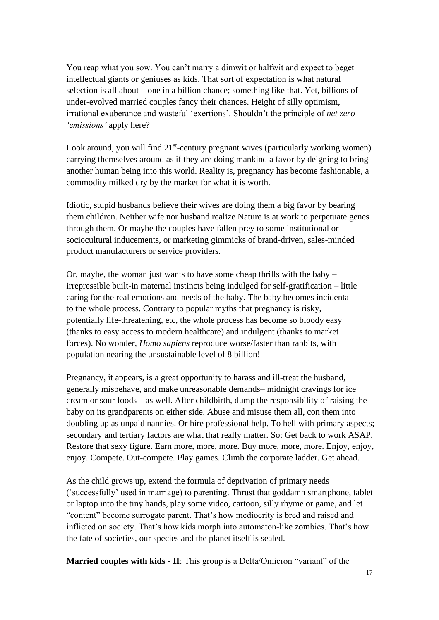You reap what you sow. You can't marry a dimwit or halfwit and expect to beget intellectual giants or geniuses as kids. That sort of expectation is what natural selection is all about – one in a billion chance; something like that. Yet, billions of under-evolved married couples fancy their chances. Height of silly optimism, irrational exuberance and wasteful 'exertions'. Shouldn't the principle of *net zero 'emissions'* apply here?

Look around, you will find 21<sup>st</sup>-century pregnant wives (particularly working women) carrying themselves around as if they are doing mankind a favor by deigning to bring another human being into this world. Reality is, pregnancy has become fashionable, a commodity milked dry by the market for what it is worth.

Idiotic, stupid husbands believe their wives are doing them a big favor by bearing them children. Neither wife nor husband realize Nature is at work to perpetuate genes through them. Or maybe the couples have fallen prey to some institutional or sociocultural inducements, or marketing gimmicks of brand-driven, sales-minded product manufacturers or service providers.

Or, maybe, the woman just wants to have some cheap thrills with the baby – irrepressible built-in maternal instincts being indulged for self-gratification – little caring for the real emotions and needs of the baby. The baby becomes incidental to the whole process. Contrary to popular myths that pregnancy is risky, potentially life-threatening, etc, the whole process has become so bloody easy (thanks to easy access to modern healthcare) and indulgent (thanks to market forces). No wonder, *Homo sapiens* reproduce worse/faster than rabbits, with population nearing the unsustainable level of 8 billion!

Pregnancy, it appears, is a great opportunity to harass and ill-treat the husband, generally misbehave, and make unreasonable demands– midnight cravings for ice cream or sour foods – as well. After childbirth, dump the responsibility of raising the baby on its grandparents on either side. Abuse and misuse them all, con them into doubling up as unpaid nannies. Or hire professional help. To hell with primary aspects; secondary and tertiary factors are what that really matter. So: Get back to work ASAP. Restore that sexy figure. Earn more, more, more. Buy more, more, more. Enjoy, enjoy, enjoy. Compete. Out-compete. Play games. Climb the corporate ladder. Get ahead.

As the child grows up, extend the formula of deprivation of primary needs ('successfully' used in marriage) to parenting. Thrust that goddamn smartphone, tablet or laptop into the tiny hands, play some video, cartoon, silly rhyme or game, and let "content" become surrogate parent. That's how mediocrity is bred and raised and inflicted on society. That's how kids morph into automaton-like zombies. That's how the fate of societies, our species and the planet itself is sealed.

**Married couples with kids - II**: This group is a Delta/Omicron "variant" of the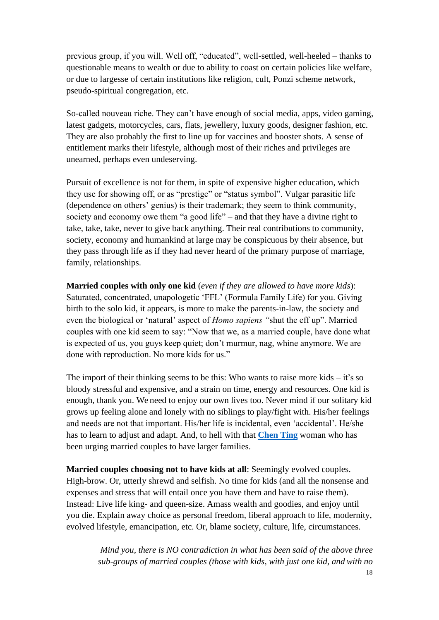previous group, if you will. Well off, "educated", well-settled, well-heeled – thanks to questionable means to wealth or due to ability to coast on certain policies like welfare, or due to largesse of certain institutions like religion, cult, Ponzi scheme network, pseudo-spiritual congregation, etc.

So-called nouveau riche. They can't have enough of social media, apps, video gaming, latest gadgets, motorcycles, cars, flats, jewellery, luxury goods, designer fashion, etc. They are also probably the first to line up for vaccines and booster shots. A sense of entitlement marks their lifestyle, although most of their riches and privileges are unearned, perhaps even undeserving.

Pursuit of excellence is not for them, in spite of expensive higher education, which they use for showing off, or as "prestige" or "status symbol". Vulgar parasitic life (dependence on others' genius) is their trademark; they seem to think community, society and economy owe them "a good life" – and that they have a divine right to take, take, take, never to give back anything. Their real contributions to community, society, economy and humankind at large may be conspicuous by their absence, but they pass through life as if they had never heard of the primary purpose of marriage, family, relationships.

**Married couples with only one kid** (*even if they are allowed to have more kids*): Saturated, concentrated, unapologetic 'FFL' (Formula Family Life) for you. Giving birth to the solo kid, it appears, is more to make the parents-in-law, the society and even the biological or 'natural' aspect of *Homo sapiens "*shut the eff up". Married couples with one kid seem to say: "Now that we, as a married couple, have done what is expected of us, you guys keep quiet; don't murmur, nag, whine anymore. We are done with reproduction. No more kids for us."

The import of their thinking seems to be this: Who wants to raise more kids  $-$  it's so bloody stressful and expensive, and a strain on time, energy and resources. One kid is enough, thank you. We need to enjoy our own lives too. Never mind if our solitary kid grows up feeling alone and lonely with no siblings to play/fight with. His/her feelings and needs are not that important. His/her life is incidental, even 'accidental'. He/she has to learn to adjust and adapt. And, to hell with that **[Chen Ting](https://www.bbc.com/news/av/world-asia-china-59732329)** woman who has been urging married couples to have larger families.

**Married couples choosing not to have kids at all**: Seemingly evolved couples. High-brow. Or, utterly shrewd and selfish. No time for kids (and all the nonsense and expenses and stress that will entail once you have them and have to raise them). Instead: Live life king- and queen-size. Amass wealth and goodies, and enjoy until you die. Explain away choice as personal freedom, liberal approach to life, modernity, evolved lifestyle, emancipation, etc. Or, blame society, culture, life, circumstances.

> *Mind you, there is NO contradiction in what has been said of the above three sub-groups of married couples (those with kids, with just one kid, and with no*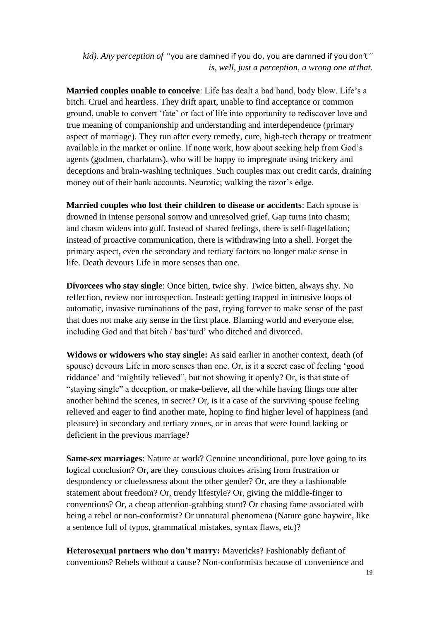*kid). Any perception of "*you are damned if you do, you are damned if you don't*" is, well, just a perception, a wrong one at that.*

**Married couples unable to conceive**: Life has dealt a bad hand, body blow. Life's a bitch. Cruel and heartless. They drift apart, unable to find acceptance or common ground, unable to convert 'fate' or fact of life into opportunity to rediscover love and true meaning of companionship and understanding and interdependence (primary aspect of marriage). They run after every remedy, cure, high-tech therapy or treatment available in the market or online. If none work, how about seeking help from God's agents (godmen, charlatans), who will be happy to impregnate using trickery and deceptions and brain-washing techniques. Such couples max out credit cards, draining money out of their bank accounts. Neurotic; walking the razor's edge.

**Married couples who lost their children to disease or accidents**: Each spouse is drowned in intense personal sorrow and unresolved grief. Gap turns into chasm; and chasm widens into gulf. Instead of shared feelings, there is self-flagellation; instead of proactive communication, there is withdrawing into a shell. Forget the primary aspect, even the secondary and tertiary factors no longer make sense in life. Death devours Life in more senses than one.

**Divorcees who stay single**: Once bitten, twice shy. Twice bitten, always shy. No reflection, review nor introspection. Instead: getting trapped in intrusive loops of automatic, invasive ruminations of the past, trying forever to make sense of the past that does not make any sense in the first place. Blaming world and everyone else, including God and that bitch / bas'turd' who ditched and divorced.

**Widows or widowers who stay single:** As said earlier in another context, death (of spouse) devours Life in more senses than one. Or, is it a secret case of feeling 'good riddance' and 'mightily relieved", but not showing it openly? Or, is that state of "staying single" a deception, or make-believe, all the while having flings one after another behind the scenes, in secret? Or, is it a case of the surviving spouse feeling relieved and eager to find another mate, hoping to find higher level of happiness (and pleasure) in secondary and tertiary zones, or in areas that were found lacking or deficient in the previous marriage?

**Same-sex marriages**: Nature at work? Genuine unconditional, pure love going to its logical conclusion? Or, are they conscious choices arising from frustration or despondency or cluelessness about the other gender? Or, are they a fashionable statement about freedom? Or, trendy lifestyle? Or, giving the middle-finger to conventions? Or, a cheap attention-grabbing stunt? Or chasing fame associated with being a rebel or non-conformist? Or unnatural phenomena (Nature gone haywire, like a sentence full of typos, grammatical mistakes, syntax flaws, etc)?

**Heterosexual partners who don't marry:** Mavericks? Fashionably defiant of conventions? Rebels without a cause? Non-conformists because of convenience and